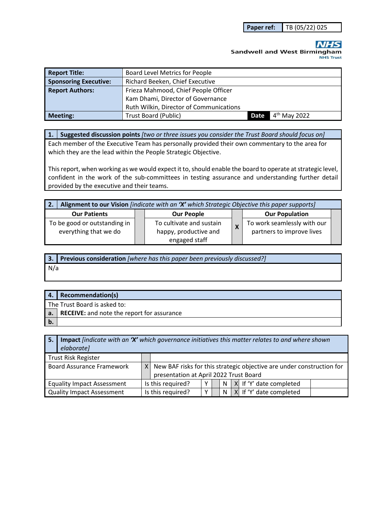**Paper ref:** TB (05/22) 025

**Sandwell and West Birmingham NHS Trust** 

| <b>Report Title:</b>         | <b>Board Level Metrics for People</b>   |      |                |  |  |  |
|------------------------------|-----------------------------------------|------|----------------|--|--|--|
| <b>Sponsoring Executive:</b> | Richard Beeken, Chief Executive         |      |                |  |  |  |
| <b>Report Authors:</b>       | Frieza Mahmood, Chief People Officer    |      |                |  |  |  |
|                              | Kam Dhami, Director of Governance       |      |                |  |  |  |
|                              | Ruth Wilkin, Director of Communications |      |                |  |  |  |
| <b>Meeting:</b>              | <b>Trust Board (Public)</b>             | Date | $4th$ May 2022 |  |  |  |

**1. Suggested discussion points** *[two or three issues you consider the Trust Board should focus on]* 

Each member of the Executive Team has personally provided their own commentary to the area for which they are the lead within the People Strategic Objective.

This report, when working as we would expect it to, should enable the board to operate at strategic level, confident in the work of the sub-committees in testing assurance and understanding further detail provided by the executive and their teams.

| Alignment to our Vision <i>[indicate with an 'X' which Strategic Objective this paper supports]</i><br>2. |  |                                                   |                           |                                                          |  |
|-----------------------------------------------------------------------------------------------------------|--|---------------------------------------------------|---------------------------|----------------------------------------------------------|--|
| <b>Our Patients</b>                                                                                       |  | <b>Our People</b>                                 |                           | <b>Our Population</b>                                    |  |
| To be good or outstanding in<br>everything that we do                                                     |  | To cultivate and sustain<br>happy, productive and | $\boldsymbol{\mathsf{X}}$ | To work seamlessly with our<br>partners to improve lives |  |
|                                                                                                           |  | engaged staff                                     |                           |                                                          |  |

**3. Previous consideration** *[where has this paper been previously discussed?]* N/a

|    | 4. Recommendation(s)                          |
|----|-----------------------------------------------|
|    | The Trust Board is asked to:                  |
|    | a. RECEIVE: and note the report for assurance |
| b. |                                               |

| 5. | <b>Impact</b> findicate with an 'X' which governance initiatives this matter relates to and where shown<br>elaborate] |                                        |                                                                           |  |  |    |                         |
|----|-----------------------------------------------------------------------------------------------------------------------|----------------------------------------|---------------------------------------------------------------------------|--|--|----|-------------------------|
|    | <b>Trust Risk Register</b>                                                                                            |                                        |                                                                           |  |  |    |                         |
|    | <b>Board Assurance Framework</b>                                                                                      |                                        | $X$ New BAF risks for this strategic objective are under construction for |  |  |    |                         |
|    |                                                                                                                       | presentation at April 2022 Trust Board |                                                                           |  |  |    |                         |
|    | <b>Equality Impact Assessment</b>                                                                                     |                                        | Is this required?                                                         |  |  | N. | X If 'Y' date completed |
|    | <b>Quality Impact Assessment</b>                                                                                      |                                        | Is this required?                                                         |  |  | N. | X If 'Y' date completed |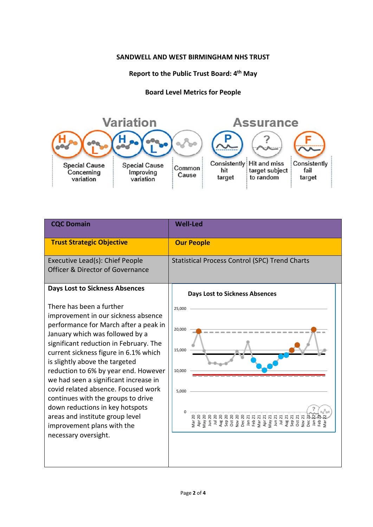## **SANDWELL AND WEST BIRMINGHAM NHS TRUST**

## **Report to the Public Trust Board: 4th May**

## **Board Level Metrics for People**



| <b>CQC Domain</b>                                                                                                                                                                                                                                                                                                                                                                                                                                                                                                                                          | <b>Well-Led</b>                                       |
|------------------------------------------------------------------------------------------------------------------------------------------------------------------------------------------------------------------------------------------------------------------------------------------------------------------------------------------------------------------------------------------------------------------------------------------------------------------------------------------------------------------------------------------------------------|-------------------------------------------------------|
| <b>Trust Strategic Objective</b>                                                                                                                                                                                                                                                                                                                                                                                                                                                                                                                           | <b>Our People</b>                                     |
| Executive Lead(s): Chief People<br><b>Officer &amp; Director of Governance</b>                                                                                                                                                                                                                                                                                                                                                                                                                                                                             | <b>Statistical Process Control (SPC) Trend Charts</b> |
| <b>Days Lost to Sickness Absences</b>                                                                                                                                                                                                                                                                                                                                                                                                                                                                                                                      | <b>Days Lost to Sickness Absences</b>                 |
| There has been a further<br>improvement in our sickness absence<br>performance for March after a peak in<br>January which was followed by a<br>significant reduction in February. The<br>current sickness figure in 6.1% which<br>is slightly above the targeted<br>reduction to 6% by year end. However<br>we had seen a significant increase in<br>covid related absence. Focused work<br>continues with the groups to drive<br>down reductions in key hotspots<br>areas and institute group level<br>improvement plans with the<br>necessary oversight. | 25,000<br>20,000<br>15,000<br>10,000<br>5,000         |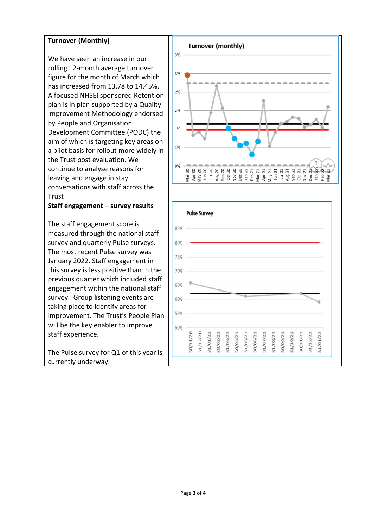